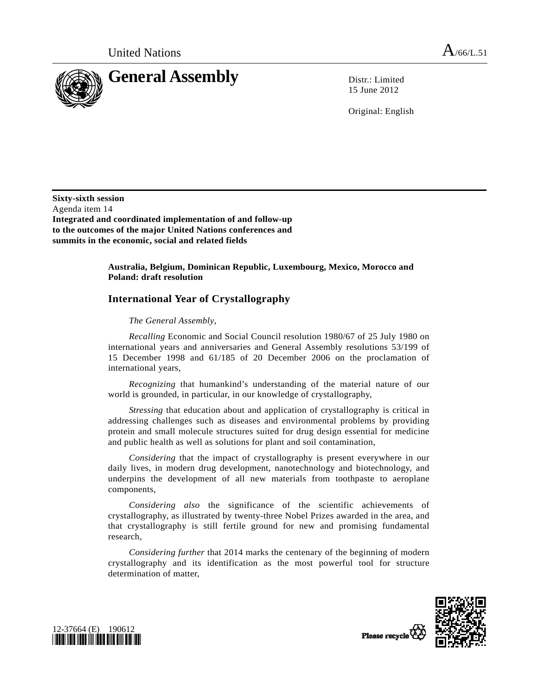

15 June 2012

Original: English

**Sixty-sixth session**  Agenda item 14 **Integrated and coordinated implementation of and follow-up to the outcomes of the major United Nations conferences and summits in the economic, social and related fields** 

> **Australia, Belgium, Dominican Republic, Luxembourg, Mexico, Morocco and Poland: draft resolution**

## **International Year of Crystallography**

## *The General Assembly*,

*Recalling* Economic and Social Council resolution 1980/67 of 25 July 1980 on international years and anniversaries and General Assembly resolutions 53/199 of 15 December 1998 and 61/185 of 20 December 2006 on the proclamation of international years,

*Recognizing* that humankind's understanding of the material nature of our world is grounded, in particular, in our knowledge of crystallography,

*Stressing* that education about and application of crystallography is critical in addressing challenges such as diseases and environmental problems by providing protein and small molecule structures suited for drug design essential for medicine and public health as well as solutions for plant and soil contamination,

*Considering* that the impact of crystallography is present everywhere in our daily lives, in modern drug development, nanotechnology and biotechnology, and underpins the development of all new materials from toothpaste to aeroplane components,

*Considering also* the significance of the scientific achievements of crystallography, as illustrated by twenty-three Nobel Prizes awarded in the area, and that crystallography is still fertile ground for new and promising fundamental research,

*Considering further* that 2014 marks the centenary of the beginning of modern crystallography and its identification as the most powerful tool for structure determination of matter,